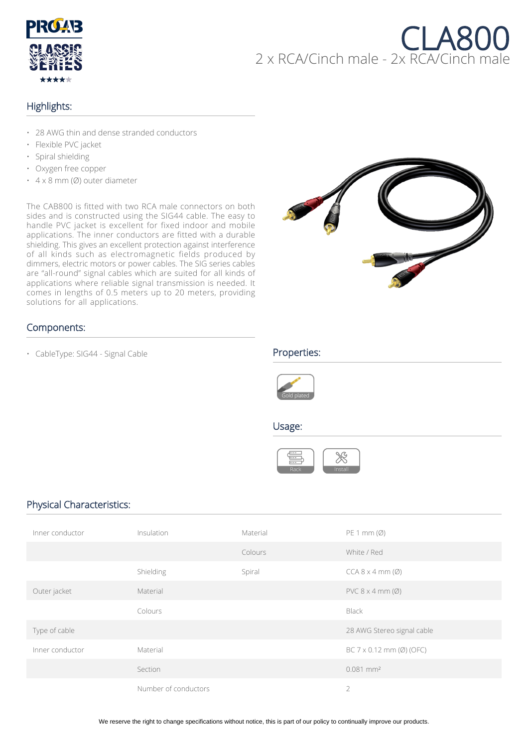

# CLA800 2 x RCA/Cinch male - 2x RCA/Cinch male

# Highlights:

- 28 AWG thin and dense stranded conductors
- Flexible PVC jacket
- Spiral shielding
- Oxygen free copper
- 4 x 8 mm (Ø) outer diameter

The CAB800 is fitted with two RCA male connectors on both sides and is constructed using the SIG44 cable. The easy to handle PVC jacket is excellent for fixed indoor and mobile applications. The inner conductors are fitted with a durable shielding. This gives an excellent protection against interference of all kinds such as electromagnetic fields produced by dimmers, electric motors or power cables. The SIG series cables are "all-round" signal cables which are suited for all kinds of applications where reliable signal transmission is needed. It comes in lengths of 0.5 meters up to 20 meters, providing solutions for all applications.



## Components:

• CableType: SIG44 - Signal Cable **Properties:** 





### Usage:



# Physical Characteristics:

| Inner conductor | Insulation           | Material | PE 1 mm (Ø)                     |
|-----------------|----------------------|----------|---------------------------------|
|                 |                      | Colours  | White / Red                     |
|                 | Shielding            | Spiral   | $CCA 8 \times 4 mm (Ø)$         |
| Outer jacket    | Material             |          | $PVC 8 \times 4 mm (Ø)$         |
|                 | Colours              |          | Black                           |
| Type of cable   |                      |          | 28 AWG Stereo signal cable      |
| Inner conductor | Material             |          | BC 7 $\times$ 0.12 mm (Ø) (OFC) |
|                 | Section              |          | $0.081$ mm <sup>2</sup>         |
|                 | Number of conductors |          | $\overline{2}$                  |